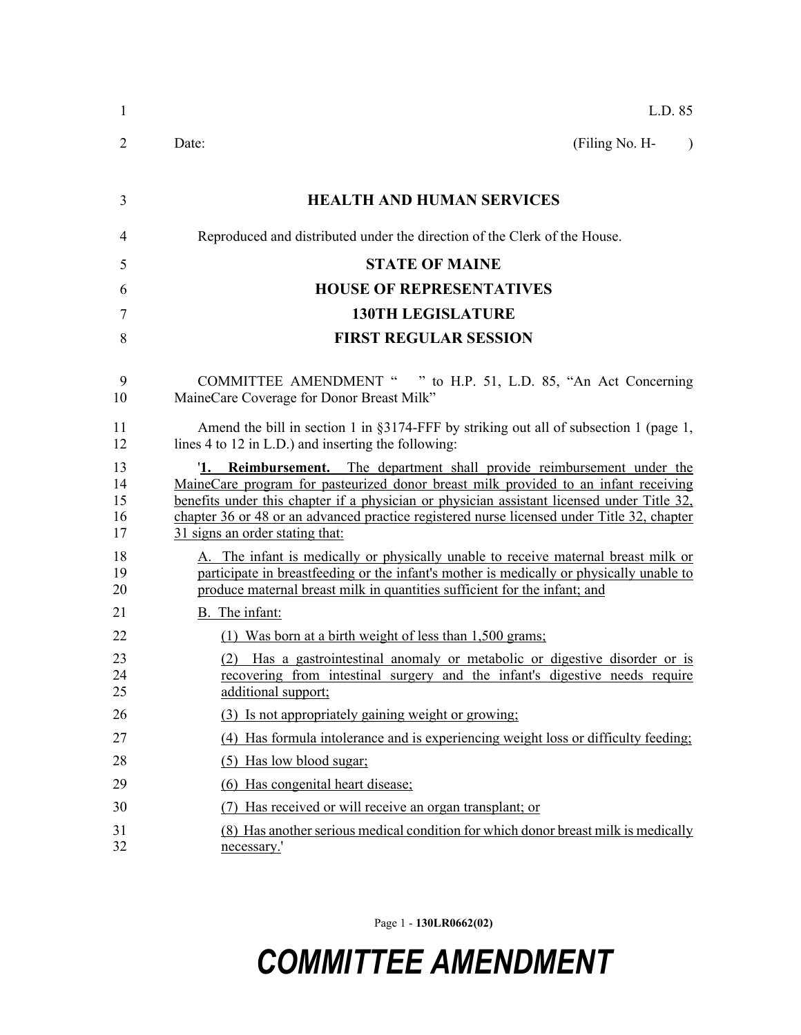| $\mathbf{1}$               | L.D. 85                                                                                                                                                                                                                                                                                                                                                                                      |  |  |
|----------------------------|----------------------------------------------------------------------------------------------------------------------------------------------------------------------------------------------------------------------------------------------------------------------------------------------------------------------------------------------------------------------------------------------|--|--|
| 2                          | Date:<br>(Filing No. H-<br>$\lambda$                                                                                                                                                                                                                                                                                                                                                         |  |  |
| 3                          | <b>HEALTH AND HUMAN SERVICES</b>                                                                                                                                                                                                                                                                                                                                                             |  |  |
| $\overline{4}$             | Reproduced and distributed under the direction of the Clerk of the House.                                                                                                                                                                                                                                                                                                                    |  |  |
| 5                          | <b>STATE OF MAINE</b>                                                                                                                                                                                                                                                                                                                                                                        |  |  |
| 6                          | <b>HOUSE OF REPRESENTATIVES</b>                                                                                                                                                                                                                                                                                                                                                              |  |  |
| 7                          | <b>130TH LEGISLATURE</b>                                                                                                                                                                                                                                                                                                                                                                     |  |  |
| 8                          | <b>FIRST REGULAR SESSION</b>                                                                                                                                                                                                                                                                                                                                                                 |  |  |
| 9<br>10                    | COMMITTEE AMENDMENT " " to H.P. 51, L.D. 85, "An Act Concerning<br>MaineCare Coverage for Donor Breast Milk"                                                                                                                                                                                                                                                                                 |  |  |
| 11<br>12                   | Amend the bill in section 1 in $\S 3174$ -FFF by striking out all of subsection 1 (page 1,<br>lines 4 to 12 in L.D.) and inserting the following:                                                                                                                                                                                                                                            |  |  |
| 13<br>14<br>15<br>16<br>17 | 1. Reimbursement. The department shall provide reimbursement under the<br>MaineCare program for pasteurized donor breast milk provided to an infant receiving<br>benefits under this chapter if a physician or physician assistant licensed under Title 32,<br>chapter 36 or 48 or an advanced practice registered nurse licensed under Title 32, chapter<br>31 signs an order stating that: |  |  |
| 18<br>19<br>20             | A. The infant is medically or physically unable to receive maternal breast milk or<br>participate in breastfeeding or the infant's mother is medically or physically unable to<br>produce maternal breast milk in quantities sufficient for the infant; and                                                                                                                                  |  |  |
| 21                         | B. The infant:                                                                                                                                                                                                                                                                                                                                                                               |  |  |
| 22                         | (1) Was born at a birth weight of less than 1,500 grams;                                                                                                                                                                                                                                                                                                                                     |  |  |
| 23<br>24<br>25             | (2) Has a gastrointestinal anomaly or metabolic or digestive disorder or is<br>recovering from intestinal surgery and the infant's digestive needs require<br>additional support;                                                                                                                                                                                                            |  |  |
| 26                         | (3) Is not appropriately gaining weight or growing;                                                                                                                                                                                                                                                                                                                                          |  |  |
| 27                         | (4) Has formula intolerance and is experiencing weight loss or difficulty feeding;                                                                                                                                                                                                                                                                                                           |  |  |
| 28                         | (5) Has low blood sugar;                                                                                                                                                                                                                                                                                                                                                                     |  |  |
| 29                         | (6) Has congenital heart disease;                                                                                                                                                                                                                                                                                                                                                            |  |  |
| 30                         | Has received or will receive an organ transplant; or                                                                                                                                                                                                                                                                                                                                         |  |  |
| 31<br>32                   | (8) Has another serious medical condition for which donor breast milk is medically<br>necessary.'                                                                                                                                                                                                                                                                                            |  |  |

Page 1 - **130LR0662(02)**

## *COMMITTEE AMENDMENT*